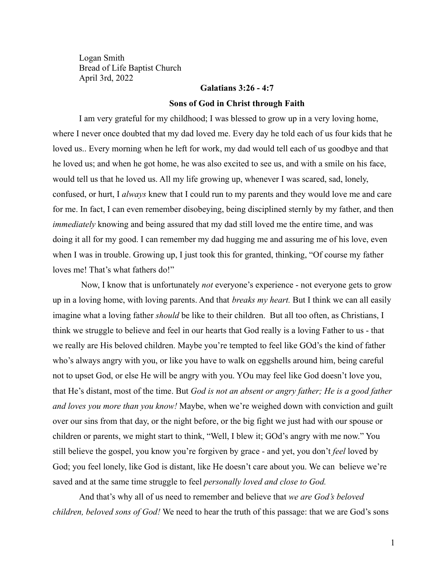Logan Smith Bread of Life Baptist Church April 3rd, 2022

## **Galatians 3:26 - 4:7**

### **Sons of God in Christ through Faith**

I am very grateful for my childhood; I was blessed to grow up in a very loving home, where I never once doubted that my dad loved me. Every day he told each of us four kids that he loved us.. Every morning when he left for work, my dad would tell each of us goodbye and that he loved us; and when he got home, he was also excited to see us, and with a smile on his face, would tell us that he loved us. All my life growing up, whenever I was scared, sad, lonely, confused, or hurt, I *always* knew that I could run to my parents and they would love me and care for me. In fact, I can even remember disobeying, being disciplined sternly by my father, and then *immediately* knowing and being assured that my dad still loved me the entire time, and was doing it all for my good. I can remember my dad hugging me and assuring me of his love, even when I was in trouble. Growing up, I just took this for granted, thinking, "Of course my father loves me! That's what fathers do!"

Now, I know that is unfortunately *not* everyone's experience - not everyone gets to grow up in a loving home, with loving parents. And that *breaks my heart.* But I think we can all easily imagine what a loving father *should* be like to their children. But all too often, as Christians, I think we struggle to believe and feel in our hearts that God really is a loving Father to us - that we really are His beloved children. Maybe you're tempted to feel like GOd's the kind of father who's always angry with you, or like you have to walk on eggshells around him, being careful not to upset God, or else He will be angry with you. YOu may feel like God doesn't love you, that He's distant, most of the time. But *God is not an absent or angry father; He is a good father and loves you more than you know!* Maybe, when we're weighed down with conviction and guilt over our sins from that day, or the night before, or the big fight we just had with our spouse or children or parents, we might start to think, "Well, I blew it; GOd's angry with me now." You still believe the gospel, you know you're forgiven by grace - and yet, you don't *feel* loved by God; you feel lonely, like God is distant, like He doesn't care about you. We can believe we're saved and at the same time struggle to feel *personally loved and close to God.*

And that's why all of us need to remember and believe that *we are God's beloved children, beloved sons of God!* We need to hear the truth of this passage: that we are God's sons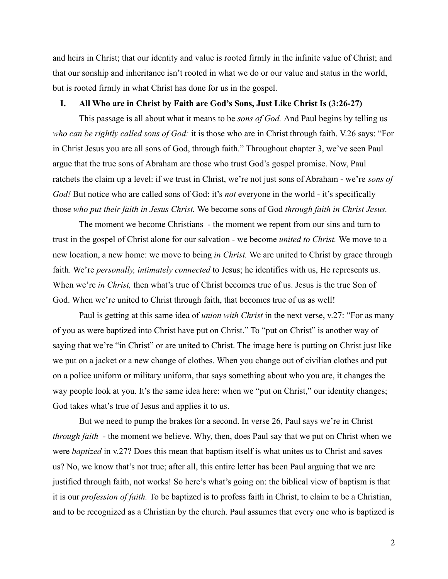and heirs in Christ; that our identity and value is rooted firmly in the infinite value of Christ; and that our sonship and inheritance isn't rooted in what we do or our value and status in the world, but is rooted firmly in what Christ has done for us in the gospel.

### **I. All Who are in Christ by Faith are God's Sons, Just Like Christ Is (3:26-27)**

This passage is all about what it means to be *sons of God.* And Paul begins by telling us *who can be rightly called sons of God:* it is those who are in Christ through faith. V.26 says: "For in Christ Jesus you are all sons of God, through faith." Throughout chapter 3, we've seen Paul argue that the true sons of Abraham are those who trust God's gospel promise. Now, Paul ratchets the claim up a level: if we trust in Christ, we're not just sons of Abraham - we're *sons of God!* But notice who are called sons of God: it's *not* everyone in the world - it's specifically those *who put their faith in Jesus Christ.* We become sons of God *through faith in Christ Jesus.*

The moment we become Christians - the moment we repent from our sins and turn to trust in the gospel of Christ alone for our salvation - we become *united to Christ.* We move to a new location, a new home: we move to being *in Christ.* We are united to Christ by grace through faith. We're *personally, intimately connected* to Jesus; he identifies with us, He represents us. When we're *in Christ,* then what's true of Christ becomes true of us. Jesus is the true Son of God. When we're united to Christ through faith, that becomes true of us as well!

Paul is getting at this same idea of *union with Christ* in the next verse, v.27: "For as many of you as were baptized into Christ have put on Christ." To "put on Christ" is another way of saying that we're "in Christ" or are united to Christ. The image here is putting on Christ just like we put on a jacket or a new change of clothes. When you change out of civilian clothes and put on a police uniform or military uniform, that says something about who you are, it changes the way people look at you. It's the same idea here: when we "put on Christ," our identity changes; God takes what's true of Jesus and applies it to us.

But we need to pump the brakes for a second. In verse 26, Paul says we're in Christ *through faith -* the moment we believe. Why, then, does Paul say that we put on Christ when we were *baptized* in v.27? Does this mean that baptism itself is what unites us to Christ and saves us? No, we know that's not true; after all, this entire letter has been Paul arguing that we are justified through faith, not works! So here's what's going on: the biblical view of baptism is that it is our *profession of faith.* To be baptized is to profess faith in Christ, to claim to be a Christian, and to be recognized as a Christian by the church. Paul assumes that every one who is baptized is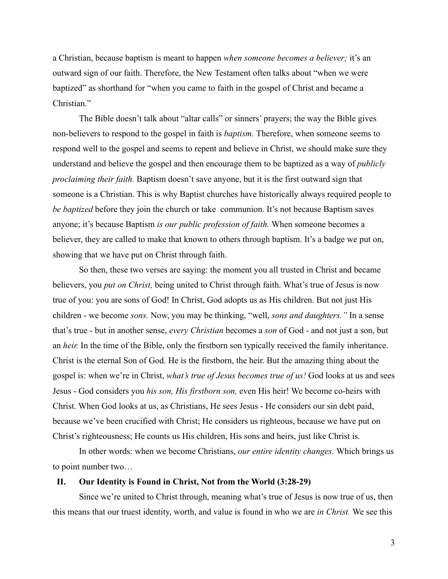a Christian, because baptism is meant to happen *when someone becomes a believer;* it's an outward sign of our faith. Therefore, the New Testament often talks about "when we were baptized" as shorthand for "when you came to faith in the gospel of Christ and became a Christian."

The Bible doesn't talk about "altar calls" or sinners' prayers; the way the Bible gives non-believers to respond to the gospel in faith is *baptism.* Therefore, when someone seems to respond well to the gospel and seems to repent and believe in Christ, we should make sure they understand and believe the gospel and then encourage them to be baptized as a way of *publicly proclaiming their faith.* Baptism doesn't save anyone, but it is the first outward sign that someone is a Christian. This is why Baptist churches have historically always required people to *be baptized* before they join the church or take communion. It's not because Baptism saves anyone; it's because Baptism *is our public profession of faith.* When someone becomes a believer, they are called to make that known to others through baptism. It's a badge we put on, showing that we have put on Christ through faith.

So then, these two verses are saying: the moment you all trusted in Christ and became believers, you *put on Christ,* being united to Christ through faith. What's true of Jesus is now true of you: you are sons of God! In Christ, God adopts us as His children. But not just His children - we become *sons.* Now, you may be thinking, "well, *sons and daughters."* In a sense that's true - but in another sense, *every Christian* becomes a *son* of God - and not just a son, but an *heir.* In the time of the Bible, only the firstborn son typically received the family inheritance. Christ is the eternal Son of God. He is the firstborn, the heir. But the amazing thing about the gospel is: when we're in Christ, *what's true of Jesus becomes true of us!* God looks at us and sees Jesus - God considers you *his son, His firstborn son,* even His heir! We become co-heirs with Christ. When God looks at us, as Christians, He sees Jesus - He considers our sin debt paid, because we've been crucified with Christ; He considers us righteous, because we have put on Christ's righteousness; He counts us His children, His sons and heirs, just like Christ is.

In other words: when we become Christians, *our entire identity changes.* Which brings us to point number two…

## **II. Our Identity is Found in Christ, Not from the World (3:28-29)**

Since we're united to Christ through, meaning what's true of Jesus is now true of us, then this means that our truest identity, worth, and value is found in who we are *in Christ.* We see this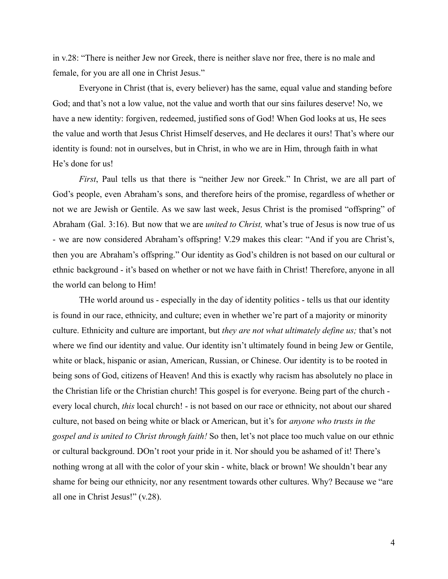in v.28: "There is neither Jew nor Greek, there is neither slave nor free, there is no male and female, for you are all one in Christ Jesus."

Everyone in Christ (that is, every believer) has the same, equal value and standing before God; and that's not a low value, not the value and worth that our sins failures deserve! No, we have a new identity: forgiven, redeemed, justified sons of God! When God looks at us, He sees the value and worth that Jesus Christ Himself deserves, and He declares it ours! That's where our identity is found: not in ourselves, but in Christ, in who we are in Him, through faith in what He's done for us!

*First*, Paul tells us that there is "neither Jew nor Greek." In Christ, we are all part of God's people, even Abraham's sons, and therefore heirs of the promise, regardless of whether or not we are Jewish or Gentile. As we saw last week, Jesus Christ is the promised "offspring" of Abraham (Gal. 3:16). But now that we are *united to Christ,* what's true of Jesus is now true of us - we are now considered Abraham's offspring! V.29 makes this clear: "And if you are Christ's, then you are Abraham's offspring." Our identity as God's children is not based on our cultural or ethnic background - it's based on whether or not we have faith in Christ! Therefore, anyone in all the world can belong to Him!

THe world around us - especially in the day of identity politics - tells us that our identity is found in our race, ethnicity, and culture; even in whether we're part of a majority or minority culture. Ethnicity and culture are important, but *they are not what ultimately define us;* that's not where we find our identity and value. Our identity isn't ultimately found in being Jew or Gentile, white or black, hispanic or asian, American, Russian, or Chinese. Our identity is to be rooted in being sons of God, citizens of Heaven! And this is exactly why racism has absolutely no place in the Christian life or the Christian church! This gospel is for everyone. Being part of the church every local church, *this* local church! - is not based on our race or ethnicity, not about our shared culture, not based on being white or black or American, but it's for *anyone who trusts in the gospel and is united to Christ through faith!* So then, let's not place too much value on our ethnic or cultural background. DOn't root your pride in it. Nor should you be ashamed of it! There's nothing wrong at all with the color of your skin - white, black or brown! We shouldn't bear any shame for being our ethnicity, nor any resentment towards other cultures. Why? Because we "are all one in Christ Jesus!" (v.28).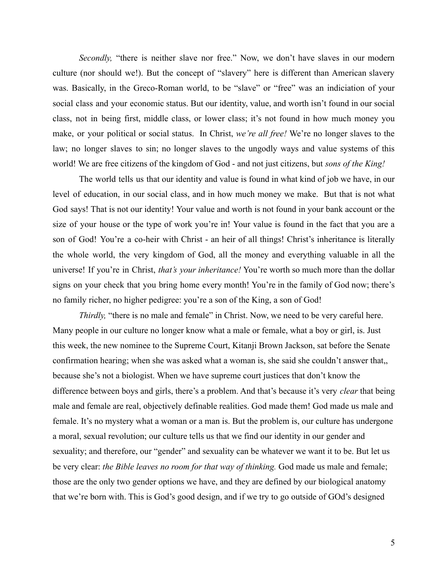*Secondly,* "there is neither slave nor free." Now, we don't have slaves in our modern culture (nor should we!). But the concept of "slavery" here is different than American slavery was. Basically, in the Greco-Roman world, to be "slave" or "free" was an indiciation of your social class and your economic status. But our identity, value, and worth isn't found in our social class, not in being first, middle class, or lower class; it's not found in how much money you make, or your political or social status. In Christ, *we're all free!* We're no longer slaves to the law; no longer slaves to sin; no longer slaves to the ungodly ways and value systems of this world! We are free citizens of the kingdom of God - and not just citizens, but *sons of the King!*

The world tells us that our identity and value is found in what kind of job we have, in our level of education, in our social class, and in how much money we make. But that is not what God says! That is not our identity! Your value and worth is not found in your bank account or the size of your house or the type of work you're in! Your value is found in the fact that you are a son of God! You're a co-heir with Christ - an heir of all things! Christ's inheritance is literally the whole world, the very kingdom of God, all the money and everything valuable in all the universe! If you're in Christ, *that's your inheritance!* You're worth so much more than the dollar signs on your check that you bring home every month! You're in the family of God now; there's no family richer, no higher pedigree: you're a son of the King, a son of God!

*Thirdly,* "there is no male and female" in Christ. Now, we need to be very careful here. Many people in our culture no longer know what a male or female, what a boy or girl, is. Just this week, the new nominee to the Supreme Court, Kitanji Brown Jackson, sat before the Senate confirmation hearing; when she was asked what a woman is, she said she couldn't answer that,, because she's not a biologist. When we have supreme court justices that don't know the difference between boys and girls, there's a problem. And that's because it's very *clear* that being male and female are real, objectively definable realities. God made them! God made us male and female. It's no mystery what a woman or a man is. But the problem is, our culture has undergone a moral, sexual revolution; our culture tells us that we find our identity in our gender and sexuality; and therefore, our "gender" and sexuality can be whatever we want it to be. But let us be very clear: *the Bible leaves no room for that way of thinking.* God made us male and female; those are the only two gender options we have, and they are defined by our biological anatomy that we're born with. This is God's good design, and if we try to go outside of GOd's designed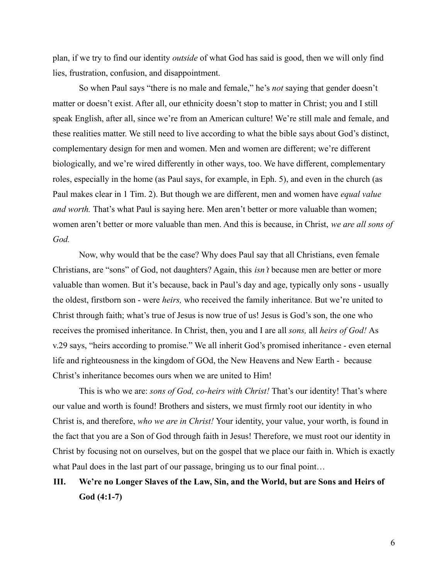plan, if we try to find our identity *outside* of what God has said is good, then we will only find lies, frustration, confusion, and disappointment.

So when Paul says "there is no male and female," he's *not* saying that gender doesn't matter or doesn't exist. After all, our ethnicity doesn't stop to matter in Christ; you and I still speak English, after all, since we're from an American culture! We're still male and female, and these realities matter. We still need to live according to what the bible says about God's distinct, complementary design for men and women. Men and women are different; we're different biologically, and we're wired differently in other ways, too. We have different, complementary roles, especially in the home (as Paul says, for example, in Eph. 5), and even in the church (as Paul makes clear in 1 Tim. 2). But though we are different, men and women have *equal value and worth.* That's what Paul is saying here. Men aren't better or more valuable than women; women aren't better or more valuable than men. And this is because, in Christ, *we are all sons of God.*

Now, why would that be the case? Why does Paul say that all Christians, even female Christians, are "sons" of God, not daughters? Again, this *isn't* because men are better or more valuable than women. But it's because, back in Paul's day and age, typically only sons - usually the oldest, firstborn son - were *heirs,* who received the family inheritance. But we're united to Christ through faith; what's true of Jesus is now true of us! Jesus is God's son, the one who receives the promised inheritance. In Christ, then, you and I are all *sons,* all *heirs of God!* As v.29 says, "heirs according to promise." We all inherit God's promised inheritance - even eternal life and righteousness in the kingdom of GOd, the New Heavens and New Earth - because Christ's inheritance becomes ours when we are united to Him!

This is who we are: *sons of God, co-heirs with Christ!* That's our identity! That's where our value and worth is found! Brothers and sisters, we must firmly root our identity in who Christ is, and therefore, *who we are in Christ!* Your identity, your value, your worth, is found in the fact that you are a Son of God through faith in Jesus! Therefore, we must root our identity in Christ by focusing not on ourselves, but on the gospel that we place our faith in. Which is exactly what Paul does in the last part of our passage, bringing us to our final point...

# **III. We're no Longer Slaves of the Law, Sin, and the World, but are Sons and Heirs of God (4:1-7)**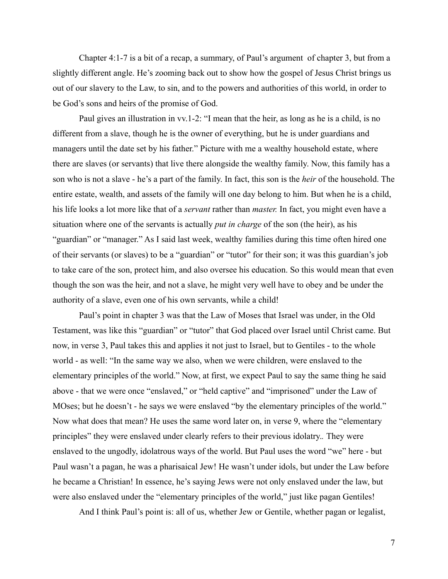Chapter 4:1-7 is a bit of a recap, a summary, of Paul's argument of chapter 3, but from a slightly different angle. He's zooming back out to show how the gospel of Jesus Christ brings us out of our slavery to the Law, to sin, and to the powers and authorities of this world, in order to be God's sons and heirs of the promise of God.

Paul gives an illustration in vv.1-2: "I mean that the heir, as long as he is a child, is no different from a slave, though he is the owner of everything, but he is under guardians and managers until the date set by his father." Picture with me a wealthy household estate, where there are slaves (or servants) that live there alongside the wealthy family. Now, this family has a son who is not a slave - he's a part of the family. In fact, this son is the *heir* of the household. The entire estate, wealth, and assets of the family will one day belong to him. But when he is a child, his life looks a lot more like that of a *servant* rather than *master.* In fact, you might even have a situation where one of the servants is actually *put in charge* of the son (the heir), as his "guardian" or "manager." As I said last week, wealthy families during this time often hired one of their servants (or slaves) to be a "guardian" or "tutor" for their son; it was this guardian's job to take care of the son, protect him, and also oversee his education. So this would mean that even though the son was the heir, and not a slave, he might very well have to obey and be under the authority of a slave, even one of his own servants, while a child!

Paul's point in chapter 3 was that the Law of Moses that Israel was under, in the Old Testament, was like this "guardian" or "tutor" that God placed over Israel until Christ came. But now, in verse 3, Paul takes this and applies it not just to Israel, but to Gentiles - to the whole world - as well: "In the same way we also, when we were children, were enslaved to the elementary principles of the world." Now, at first, we expect Paul to say the same thing he said above - that we were once "enslaved," or "held captive" and "imprisoned" under the Law of MOses; but he doesn't - he says we were enslaved "by the elementary principles of the world." Now what does that mean? He uses the same word later on, in verse 9, where the "elementary principles" they were enslaved under clearly refers to their previous idolatry.*.* They were enslaved to the ungodly, idolatrous ways of the world. But Paul uses the word "we" here - but Paul wasn't a pagan, he was a pharisaical Jew! He wasn't under idols, but under the Law before he became a Christian! In essence, he's saying Jews were not only enslaved under the law, but were also enslaved under the "elementary principles of the world," just like pagan Gentiles!

And I think Paul's point is: all of us, whether Jew or Gentile, whether pagan or legalist,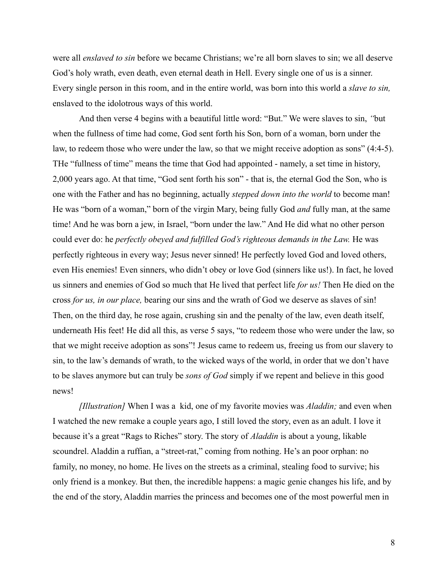were all *enslaved to sin* before we became Christians; we're all born slaves to sin; we all deserve God's holy wrath, even death, even eternal death in Hell. Every single one of us is a sinner. Every single person in this room, and in the entire world, was born into this world a *slave to sin,* enslaved to the idolotrous ways of this world.

And then verse 4 begins with a beautiful little word: "But." We were slaves to sin, *"*but when the fullness of time had come, God sent forth his Son, born of a woman, born under the law, to redeem those who were under the law, so that we might receive adoption as sons" (4:4-5). THe "fullness of time" means the time that God had appointed - namely, a set time in history, 2,000 years ago. At that time, "God sent forth his son" - that is, the eternal God the Son, who is one with the Father and has no beginning, actually *stepped down into the world* to become man! He was "born of a woman," born of the virgin Mary, being fully God *and* fully man, at the same time! And he was born a jew, in Israel, "born under the law." And He did what no other person could ever do: he *perfectly obeyed and fulfilled God's righteous demands in the Law.* He was perfectly righteous in every way; Jesus never sinned! He perfectly loved God and loved others, even His enemies! Even sinners, who didn't obey or love God (sinners like us!). In fact, he loved us sinners and enemies of God so much that He lived that perfect life *for us!* Then He died on the cross *for us, in our place,* bearing our sins and the wrath of God we deserve as slaves of sin! Then, on the third day, he rose again, crushing sin and the penalty of the law, even death itself, underneath His feet! He did all this, as verse 5 says, "to redeem those who were under the law, so that we might receive adoption as sons"! Jesus came to redeem us, freeing us from our slavery to sin, to the law's demands of wrath, to the wicked ways of the world, in order that we don't have to be slaves anymore but can truly be *sons of God* simply if we repent and believe in this good news!

*[Illustration]* When I was a kid, one of my favorite movies was *Aladdin;* and even when I watched the new remake a couple years ago, I still loved the story, even as an adult. I love it because it's a great "Rags to Riches" story. The story of *Aladdin* is about a young, likable scoundrel. Aladdin a ruffian, a "street-rat," coming from nothing. He's an poor orphan: no family, no money, no home. He lives on the streets as a criminal, stealing food to survive; his only friend is a monkey. But then, the incredible happens: a magic genie changes his life, and by the end of the story, Aladdin marries the princess and becomes one of the most powerful men in